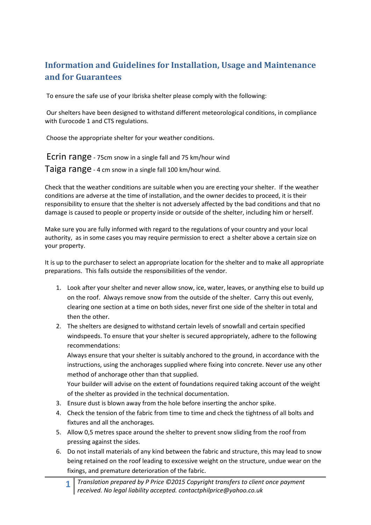## **Information and Guidelines for Installation, Usage and Maintenance and for Guarantees**

To ensure the safe use of your Ibriska shelter please comply with the following:

Our shelters have been designed to withstand different meteorological conditions, in compliance with Eurocode 1 and CTS regulations.

Choose the appropriate shelter for your weather conditions.

Ecrin range - 75cm snow in a single fall and 75 km/hour wind Taiga range - 4 cm snow in a single fall 100 km/hour wind.

Check that the weather conditions are suitable when you are erecting your shelter. If the weather conditions are adverse at the time of installation, and the owner decides to proceed, it is their responsibility to ensure that the shelter is not adversely affected by the bad conditions and that no damage is caused to people or property inside or outside of the shelter, including him or herself.

Make sure you are fully informed with regard to the regulations of your country and your local authority, as in some cases you may require permission to erect a shelter above a certain size on your property.

It is up to the purchaser to select an appropriate location for the shelter and to make all appropriate preparations. This falls outside the responsibilities of the vendor.

- 1. Look after your shelter and never allow snow, ice, water, leaves, or anything else to build up on the roof. Always remove snow from the outside of the shelter. Carry this out evenly, clearing one section at a time on both sides, never first one side of the shelter in total and then the other.
- 2. The shelters are designed to withstand certain levels of snowfall and certain specified windspeeds. To ensure that your shelter is secured appropriately, adhere to the following recommendations:

Always ensure that your shelter is suitably anchored to the ground, in accordance with the instructions, using the anchorages supplied where fixing into concrete. Never use any other method of anchorage other than that supplied.

Your builder will advise on the extent of foundations required taking account of the weight of the shelter as provided in the technical documentation.

- 3. Ensure dust is blown away from the hole before inserting the anchor spike.
- 4. Check the tension of the fabric from time to time and check the tightness of all bolts and fixtures and all the anchorages.
- 5. Allow 0,5 metres space around the shelter to prevent snow sliding from the roof from pressing against the sides.
- 6. Do not install materials of any kind between the fabric and structure, this may lead to snow being retained on the roof leading to excessive weight on the structure, undue wear on the fixings, and premature deterioration of the fabric.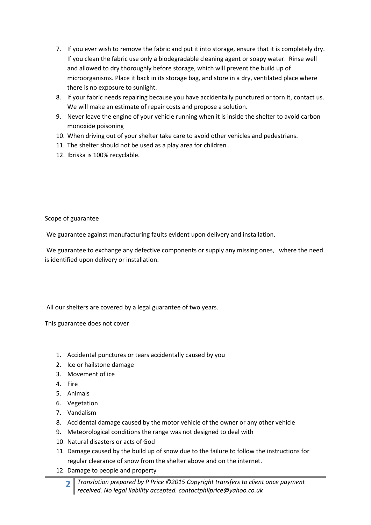- 7. If you ever wish to remove the fabric and put it into storage, ensure that it is completely dry. If you clean the fabric use only a biodegradable cleaning agent or soapy water. Rinse well and allowed to dry thoroughly before storage, which will prevent the build up of microorganisms. Place it back in its storage bag, and store in a dry, ventilated place where there is no exposure to sunlight.
- 8. If your fabric needs repairing because you have accidentally punctured or torn it, contact us. We will make an estimate of repair costs and propose a solution.
- 9. Never leave the engine of your vehicle running when it is inside the shelter to avoid carbon monoxide poisoning
- 10. When driving out of your shelter take care to avoid other vehicles and pedestrians.
- 11. The shelter should not be used as a play area for children .
- 12. Ibriska is 100% recyclable.

## Scope of guarantee

We guarantee against manufacturing faults evident upon delivery and installation.

We guarantee to exchange any defective components or supply any missing ones, where the need is identified upon delivery or installation.

## All our shelters are covered by a legal guarantee of two years.

This guarantee does not cover

- 1. Accidental punctures or tears accidentally caused by you
- 2. Ice or hailstone damage
- 3. Movement of ice
- 4. Fire
- 5. Animals
- 6. Vegetation
- 7. Vandalism
- 8. Accidental damage caused by the motor vehicle of the owner or any other vehicle
- 9. Meteorological conditions the range was not designed to deal with
- 10. Natural disasters or acts of God
- 11. Damage caused by the build up of snow due to the failure to follow the instructions for regular clearance of snow from the shelter above and on the internet.
- 12. Damage to people and property
	- **2** *Translation prepared by P Price ©2015 Copyright transfers to client once payment received. No legal liability accepted. contactphilprice@yahoo.co.uk*